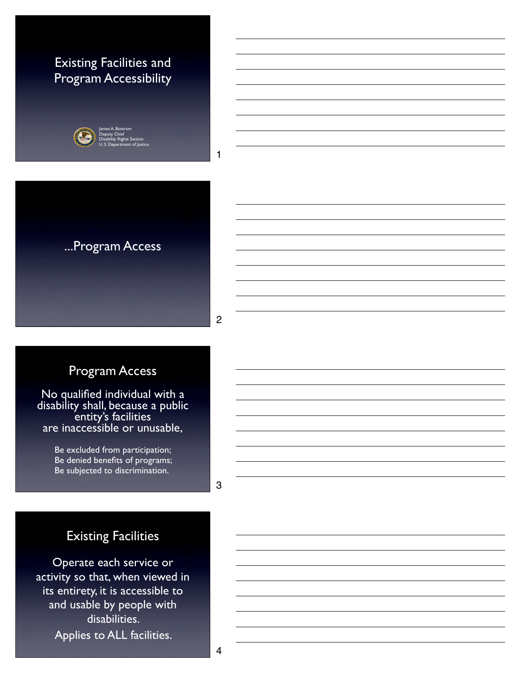### Existing Facilities and Program Accessibility



Deputy Chief Disability Rights Section U. S. Department of Justice



2

1

### Program Access

No qualified individual with a disability shall, because a public entity's facilities are inaccessible or unusable,

> Be excluded from participation; Be denied benefits of programs; Be subjected to discrimination.

> > 3

### Existing Facilities

Operate each service or activity so that, when viewed in its entirety, it is accessible to and usable by people with disabilities. Applies to ALL facilities.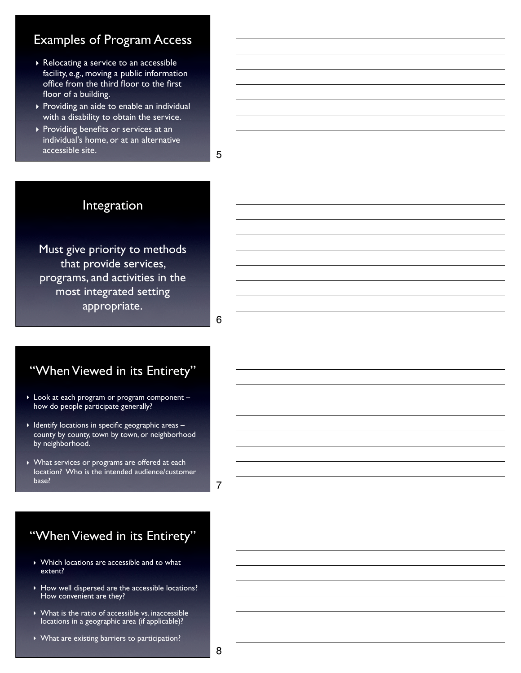### Examples of Program Access

- ‣ Relocating a service to an accessible facility, e.g., moving a public information office from the third floor to the first floor of a building.
- ‣ Providing an aide to enable an individual with a disability to obtain the service.
- ‣ Providing benefits or services at an individual's home, or at an alternative accessible site.

5

### Integration

Must give priority to methods that provide services, programs, and activities in the most integrated setting appropriate.

6

### "When Viewed in its Entirety"

- ‣ Look at each program or program component how do people participate generally?
- ‣ Identify locations in specific geographic areas county by county, town by town, or neighborhood by neighborhood.
- ‣ What services or programs are offered at each location? Who is the intended audience/customer base?

7

### "When Viewed in its Entirety"

- ‣ Which locations are accessible and to what extent?
- ‣ How well dispersed are the accessible locations? How convenient are they?
- ‣ What is the ratio of accessible vs. inaccessible locations in a geographic area (if applicable)?
- ‣ What are existing barriers to participation?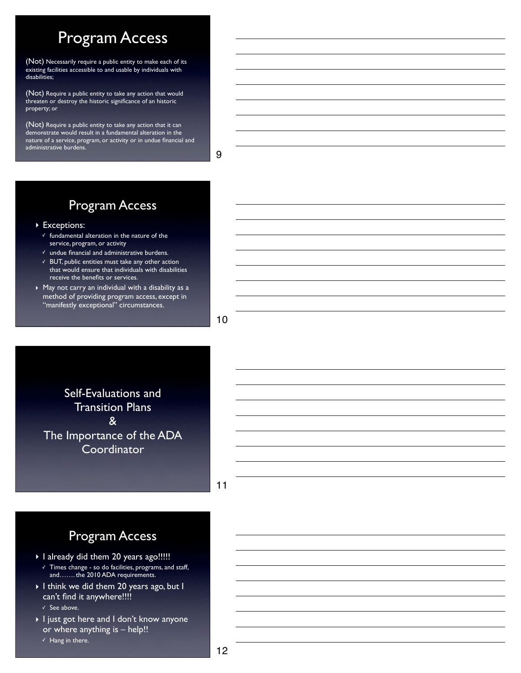# Program Access

(Not) Necessarily require a public entity to make each of its existing facilities accessible to and usable by individuals with disabilities;

(Not) Require a public entity to take any action that would threaten or destroy the historic significance of an historic property; or

(Not) Require a public entity to take any action that it can demonstrate would result in a fundamental alteration in the nature of a service, program, or activity or in undue financial and administrative burdens.

9

### Program Access

▶ Exceptions:

- ✓ fundamental alteration in the nature of the service, program, or activity
- ✓ undue financial and administrative burdens.
- ✓ BUT, public entities must take any other action that would ensure that individuals with disabilities receive the benefits or services.
- ‣ May not carry an individual with a disability as a method of providing program access, except in "manifestly exceptional" circumstances.

10

Self-Evaluations and Transition Plans & The Importance of the ADA **Coordinator** 

11

### Program Access

- ‣ I already did them 20 years ago!!!!! ✓ Times change - so do facilities, programs, and staff, and……. the 2010 ADA requirements.
- ‣ I think we did them 20 years ago, but I can't find it anywhere!!!!

✓ See above.

‣ I just got here and I don't know anyone or where anything is – help!! ✓ Hang in there.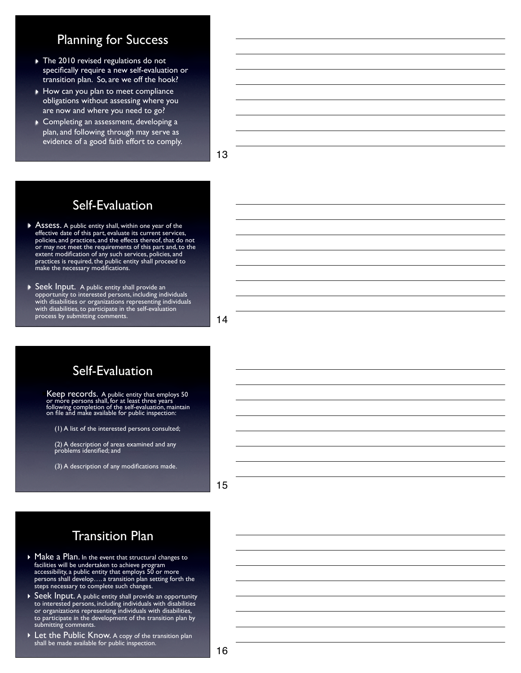### Planning for Success

- ‣ The 2010 revised regulations do not specifically require a new self-evaluation or transition plan. So, are we off the hook?
- ▶ How can you plan to meet compliance obligations without assessing where you are now and where you need to go?
- ‣ Completing an assessment, developing a plan, and following through may serve as evidence of a good faith effort to comply.

13

## Self-Evaluation

- ▶ Assess. A public entity shall, within one year of the effective date of this part, evaluate its current services, policies, and practices, and the effects thereof, that do not or may not meet the requirements of this part and, to the extent modification of any such services, policies, and practices is required, the public entity shall proceed to make the necessary modifications.
- ‣ Seek Input.A public entity shall provide an opportunity to interested persons, including individuals with disabilities or organizations representing individuals with disabilities, to participate in the self-evaluation process by submitting comments.

14

### Self-Evaluation

!Keep records. A public entity that employs 50 or more persons shall, for at least three years following completion of the self-evaluation, maintain on file and make available for public inspection:

(1) A list of the interested persons consulted;

(2) A description of areas examined and any problems identified; and

(3) A description of any modifications made.

15

### Transition Plan

- ▶ Make a Plan. In the event that structural changes to facilities will be undertaken to achieve program accessibility, a public entity that employs 50 or more persons shall develop…. a transition plan setting forth the steps necessary to complete such changes.
- ▶ Seek Input. A public entity shall provide an opportunity to interested persons, including individuals with disabilities or organizations representing individuals with disabilities, to participate in the development of the transition plan by submitting comments.
- ‣ Let the Public Know. A copy of the transition plan shall be made available for public inspection.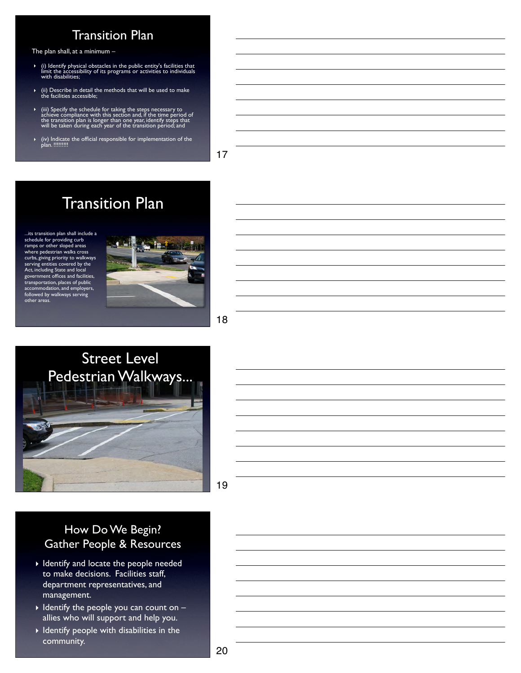### Transition Plan

The plan shall, at a minimum –

- ‣ (i) Identify physical obstacles in the public entity's facilities that limit the accessibility of its programs or activities to individuals with disabilities;
- ‣ (ii) Describe in detail the methods that will be used to make the facilities accessible;
- $\triangleright$  (iii) Specify the schedule for taking the steps necessary to achieve compliance with this section and, if the time period of the transition plan is longer than one year, identify steps that will be taken during eac
- ‣ (iv) Indicate the official responsible for implementation of the plan. !!!!!!!!!

17

# Transition Plan

...its transition plan shall include a schedule for providing curb ramps or other sloped areas where pedestrian walks cross curbs, giving priority to walkways serving entities covered by the Act, including State and local government offices and facilities, transportation, places of public accommodation, and employers, followed by walkways serving other areas.



#### 18



#### 19

#### How Do We Begin? Gather People & Resources

- ‣ Identify and locate the people needed to make decisions. Facilities staff, department representatives, and management.
- $\blacktriangleright$  Identify the people you can count on  $$ allies who will support and help you.
- ‣ Identify people with disabilities in the community.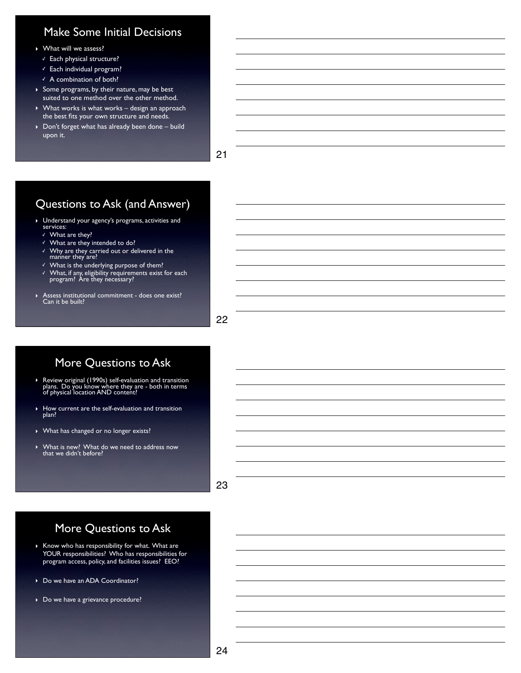#### Make Some Initial Decisions

- ‣ What will we assess?
	- ✓ Each physical structure?
	- ✓ Each individual program?
	- ✓ A combination of both?
- ‣ Some programs, by their nature, may be best suited to one method over the other method.
- ‣ What works is what works design an approach the best fits your own structure and needs.
- ‣ Don't forget what has already been done build upon it.

21

#### Questions to Ask (and Answer)

- ‣ Understand your agency's programs, activities and services:
	- ✓ What are they?
	- $\checkmark$  What are they intended to do?
	- ✓ Why are they carried out or delivered in the manner they are?
	- ✓ What is the underlying purpose of them?
	- ✓ What, if any, eligibility requirements exist for each program? Are they necessary?
- ‣ Assess institutional commitment does one exist? Can it be built?

22

#### More Questions to Ask

- ‣ Review original (1990s) self-evaluation and transition plans. Do you know where they are both in terms of physical location AND content?
- ‣ How current are the self-evaluation and transition plan?
- ‣ What has changed or no longer exists?
- ‣ What is new? What do we need to address now that we didn't before?

23

#### More Questions to Ask

- $\triangleright$  Know who has responsibility for what. What are YOUR responsibilities? Who has responsibilities for program access, policy, and facilities issues? EEO?
- ‣ Do we have an ADA Coordinator?
- ▶ Do we have a grievance procedure?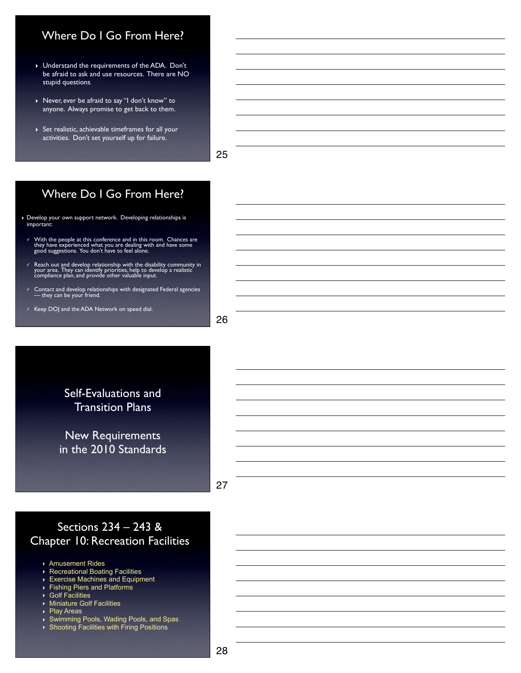#### Where Do I Go From Here?

- ‣ Understand the requirements of the ADA. Don't be afraid to ask and use resources. There are NO stupid questions.
- ‣ Never, ever be afraid to say "I don't know" to anyone. Always promise to get back to them.
- ‣ Set realistic, achievable timeframes for all your activities. Don't set yourself up for failure.

25

#### Where Do I Go From Here?

- ‣ Develop your own support network. Developing relationships is important:
	- ✓ With the people at this conference and in this room. Chances are they have experienced what you are dealing with and have some good suggestions. You don't have to feel alone.
	- ✓ Reach out and develop relationship with the disability community in your area. They can identify priorities, help to develop a realistic compliance plan, and provide other valuable input.
	- ✓ Contact and develop relationships with designated Federal agencies they can be your friend.
	- ✓ Keep DOJ and the ADA Network on speed dial.

26

Self-Evaluations and Transition Plans

New Requirements in the 2010 Standards

27

#### Sections 234 – 243 & Chapter 10: Recreation Facilities

- ‣ Amusement Rides
- ‣ Recreational Boating Facilities
- ‣ Exercise Machines and Equipment
- ‣ Fishing Piers and Platforms
- ‣ Golf Facilities
- ‣ Miniature Golf Facilities
- ‣ Play Areas
- ‣ Swimming Pools, Wading Pools, and Spas
- ‣ Shooting Facilities with Firing Positions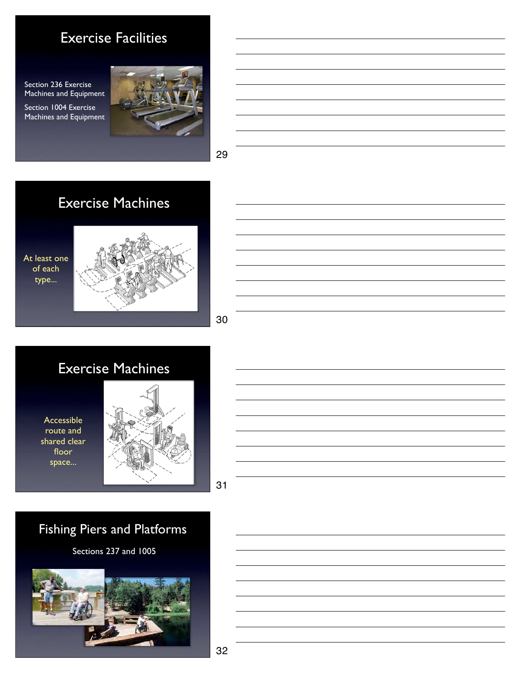# Exercise Facilities

Section 236 Exercise Machines and Equipment

Section 1004 Exercise Machines and Equipment





29



30

# Exercise Machines

Accessible route and shared clear floor space...



31

# Fishing Piers and Platforms

Sections 237 and 1005

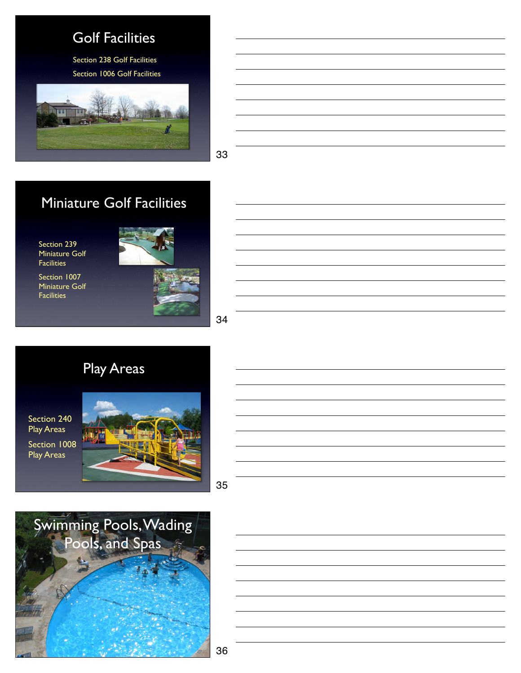# Golf Facilities

Section 238 Golf Facilities Section 1006 Golf Facilities





33

# Miniature Golf Facilities

Section 239 Miniature Golf **Facilities** 

Section 1007 Miniature Golf **Facilities** 



34

# Play Areas

Section 240 Play Areas Section 1008 Play Areas





35



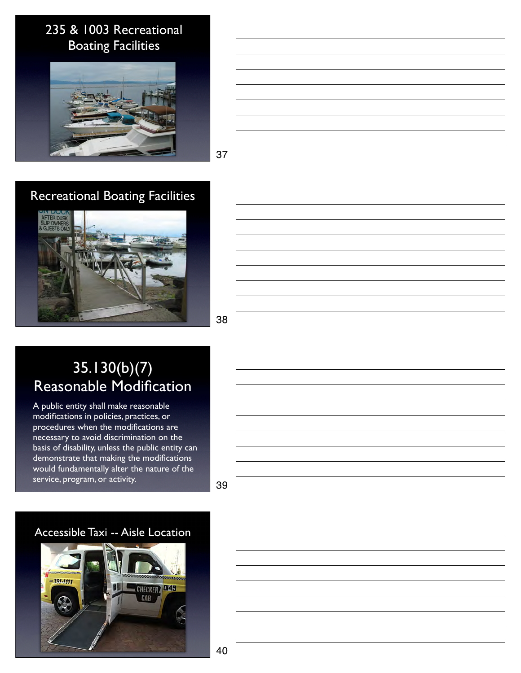## 235 & 1003 Recreational Boating Facilities



37

## Recreational Boating Facilities



38

# 35.130(b)(7) Reasonable Modification

A public entity shall make reasonable modifications in policies, practices, or procedures when the modifications are necessary to avoid discrimination on the basis of disability, unless the public entity can demonstrate that making the modifications would fundamentally alter the nature of the service, program, or activity.

39

#### Accessible Taxi -- Aisle Location

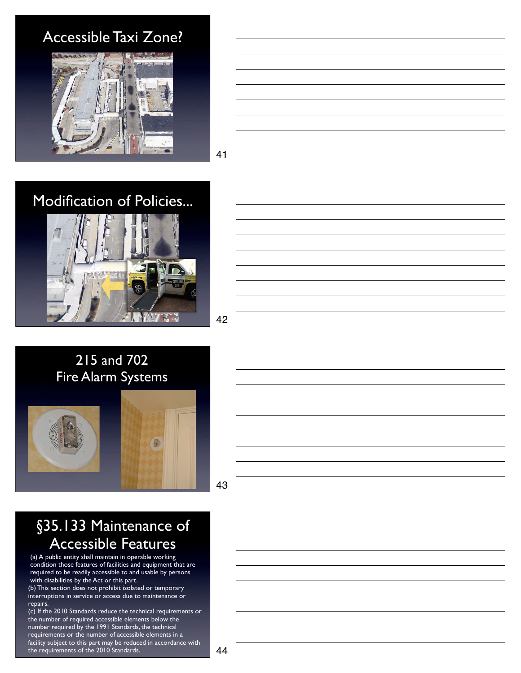# Accessible Taxi Zone?



41

# Modification of Policies...



42







43

# §35.133 Maintenance of Accessible Features

(a) A public entity shall maintain in operable working condition those features of facilities and equipment that are required to be readily accessible to and usable by persons with disabilities by the Act or this part.

(b) This section does not prohibit isolated or temporary interruptions in service or access due to maintenance or repairs.

(c) If the 2010 Standards reduce the technical requirements or the number of required accessible elements below the number required by the 1991 Standards, the technical requirements or the number of accessible elements in a facility subject to this part may be reduced in accordance with the requirements of the 2010 Standards.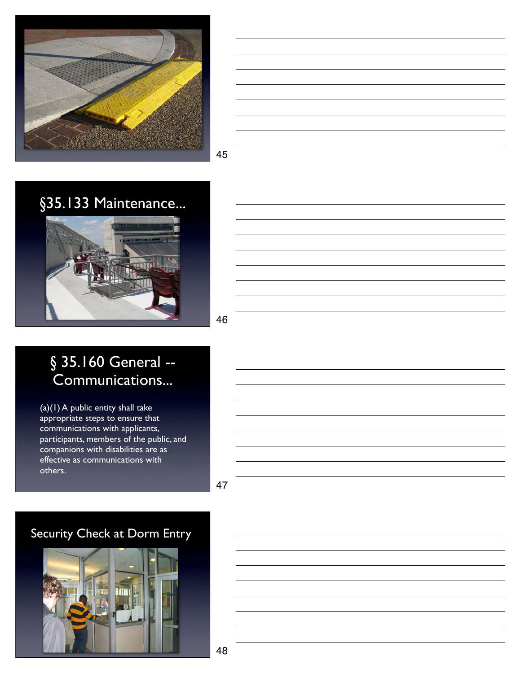

45



46

# § 35.160 General --Communications...

 $\overline{(a)(1)}$  A public entity shall take appropriate steps to ensure that communications with applicants, participants, members of the public, and companions with disabilities are as effective as communications with others.

47

# Security Check at Dorm Entry

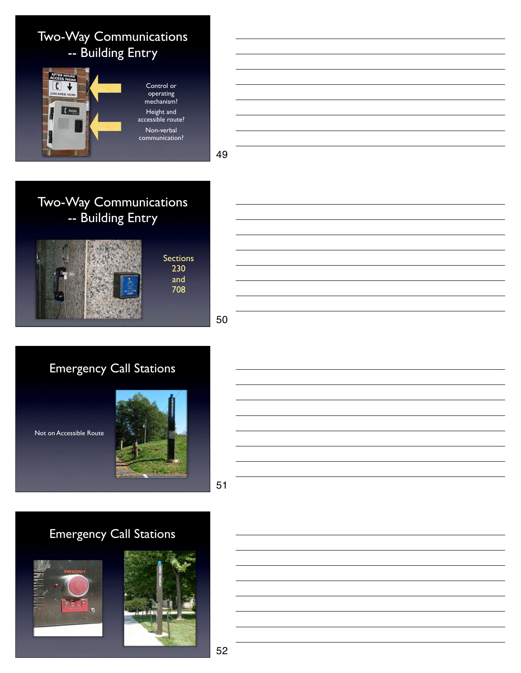



49

# Two-Way Communications -- Building Entry





# Emergency Call Stations

Not on Accessible Route





# Emergency Call Stations